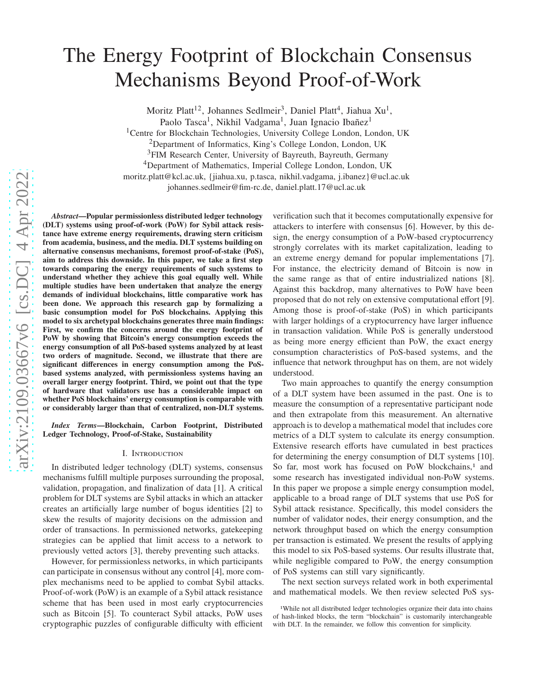# The Energy Footprint of Blockchain Consensus Mechanisms Beyond Proof-of-Work

Moritz Platt<sup>12</sup>, Johannes Sedlmeir<sup>3</sup>, Daniel Platt<sup>4</sup>, Jiahua Xu<sup>1</sup>,

Paolo Tasca<sup>1</sup>, Nikhil Vadgama<sup>1</sup>, Juan Ignacio Ibañez<sup>1</sup>

<sup>1</sup>Centre for Blockchain Technologies, University College London, London, UK

<sup>2</sup>Department of Informatics, King's College London, London, UK

<sup>3</sup>FIM Research Center, University of Bayreuth, Bayreuth, Germany

<sup>4</sup>Department of Mathematics, Imperial College London, London, UK

moritz.platt@kcl.ac.uk, {jiahua.xu, p.tasca, nikhil.vadgama, j.ibanez}@ucl.ac.uk

johannes.sedlmeir@fim-rc.de, daniel.platt.17@ucl.ac.uk

*Abstract***—Popular permissionless distributed ledger technology (DLT) systems using proof-of-work (PoW) for Sybil attack resistance have extreme energy requirements, drawing stern criticism from academia, business, and the media. DLT systems building on alternative consensus mechanisms, foremost proof-of-stake (PoS), aim to address this downside. In this paper, we take a first step towards comparing the energy requirements of such systems to understand whether they achieve this goal equally well. While multiple studies have been undertaken that analyze the energy demands of individual blockchains, little comparative work has been done. We approach this research gap by formalizing a basic consumption model for PoS blockchains. Applying this model to six archetypal blockchains generates three main findings: First, we confirm the concerns around the energy footprint of PoW by showing that Bitcoin's energy consumption exceeds the energy consumption of all PoS-based systems analyzed by at least two orders of magnitude. Second, we illustrate that there are significant differences in energy consumption among the PoSbased systems analyzed, with permissionless systems having an overall larger energy footprint. Third, we point out that the type of hardware that validators use has a considerable impact on whether PoS blockchains' energy consumption is comparable with or considerably larger than that of centralized, non-DLT systems.**

*Index Terms***—Blockchain, Carbon Footprint, Distributed Ledger Technology, Proof-of-Stake, Sustainability**

# I. Introduction

In distributed ledger technology (DLT) systems, consensus mechanisms fulfill multiple purposes surrounding the proposal, validation, propagation, and finalization of data [\[1\]](#page-7-0). A critical problem for DLT systems are Sybil attacks in which an attacker creates an artificially large number of bogus identities [\[2](#page-7-1)] to skew the results of majority decisions on the admission and order of transactions. In permissioned networks, gatekeeping strategies can be applied that limit access to a network to previously vetted actors [\[3](#page-7-2)], thereby preventing such attacks.

However, for permissionless networks, in which participants can participate in consensus without any control [\[4](#page-7-3)], more complex mechanisms need to be applied to combat Sybil attacks. Proof-of-work (PoW) is an example of a Sybil attack resistance scheme that has been used in most early cryptocurrencies such as Bitcoin [\[5\]](#page-7-4). To counteract Sybil attacks, PoW uses cryptographic puzzles of configurable difficulty with efficient

verification such that it becomes computationally expensive for attackers to interfere with consensus [\[6](#page-7-5)]. However, by this design, the energy consumption of a PoW-based cryptocurrency strongly correlates with its market capitalization, leading to an extreme energy demand for popular implementations [\[7\]](#page-7-6). For instance, the electricity demand of Bitcoin is now in the same range as that of entire industrialized nations [\[8\]](#page-7-7). Against this backdrop, many alternatives to PoW have been proposed that do not rely on extensive computational effort [\[9\]](#page-7-8). Among those is proof-of-stake (PoS) in which participants with larger holdings of a cryptocurrency have larger influence in transaction validation. While PoS is generally understood as being more energy efficient than PoW, the exact energy consumption characteristics of PoS-based systems, and the influence that network throughput has on them, are not widely understood.

Two main approaches to quantify the energy consumption of a DLT system have been assumed in the past. One is to measure the consumption of a representative participant node and then extrapolate from this measurement. An alternative approach is to develop a mathematical model that includes core metrics of a DLT system to calculate its energy consumption. Extensive research efforts have cumulated in best practices for determining the energy consumption of DLT systems [\[10\]](#page-7-9). So far, most work has focused on PoW blockchains,<sup>[1](#page-0-0)</sup> and some research has investigated individual non-PoW systems. In this paper we propose a simple energy consumption model, applicable to a broad range of DLT systems that use PoS for Sybil attack resistance. Specifically, this model considers the number of validator nodes, their energy consumption, and the network throughput based on which the energy consumption per transaction is estimated. We present the results of applying this model to six PoS-based systems. Our results illustrate that, while negligible compared to PoW, the energy consumption of PoS systems can still vary significantly.

The next section surveys related work in both experimental and mathematical models. We then review selected PoS sys-

<span id="page-0-0"></span><sup>&</sup>lt;sup>1</sup>While not all distributed ledger technologies organize their data into chains of hash-linked blocks, the term "blockchain" is customarily interchangeable with DLT. In the remainder, we follow this convention for simplicity.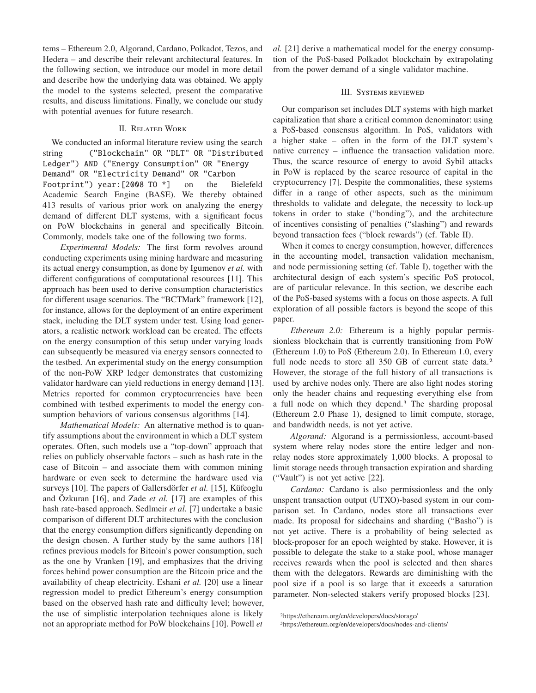tems – Ethereum 2.0, Algorand, Cardano, Polkadot, Tezos, and Hedera – and describe their relevant architectural features. In the following section, we introduce our model in more detail and describe how the underlying data was obtained. We apply the model to the systems selected, present the comparative results, and discuss limitations. Finally, we conclude our study with potential avenues for future research.

# II. Related Work

<span id="page-1-2"></span>We conducted an informal literature review using the search string ("Blockchain" OR "DLT" OR "Distributed Ledger") AND ("Energy Consumption" OR "Energy Demand" OR "Electricity Demand" OR "Carbon Footprint") year:[2008 TO \*] on the Bielefeld Academic Search Engine (BASE). We thereby obtained 413 results of various prior work on analyzing the energy demand of different DLT systems, with a significant focus on PoW blockchains in general and specifically Bitcoin. Commonly, models take one of the following two forms.

*Experimental Models:* The first form revolves around conducting experiments using mining hardware and measuring its actual energy consumption, as done by Igumenov *et al.* with different configurations of computational resources [\[11](#page-7-10)]. This approach has been used to derive consumption characteristics for different usage scenarios. The "BCTMark" framework [\[12\]](#page-7-11), for instance, allows for the deployment of an entire experiment stack, including the DLT system under test. Using load generators, a realistic network workload can be created. The effects on the energy consumption of this setup under varying loads can subsequently be measured via energy sensors connected to the testbed. An experimental study on the energy consumption of the non-PoW XRP ledger demonstrates that customizing validator hardware can yield reductions in energy demand [\[13\]](#page-7-12). Metrics reported for common cryptocurrencies have been combined with testbed experiments to model the energy con-sumption behaviors of various consensus algorithms [\[14\]](#page-7-13).

*Mathematical Models:* An alternative method is to quantify assumptions about the environment in which a DLT system operates. Often, such models use a "top-down" approach that relies on publicly observable factors – such as hash rate in the case of Bitcoin – and associate them with common mining hardware or even seek to determine the hardware used via surveys [\[10\]](#page-7-9). The papers of Gallersdörfer *et al.* [\[15](#page-7-14)], Küfeoglu and Özkuran [\[16\]](#page-7-15), and Zade *et al.* [\[17](#page-7-16)] are examples of this hash rate-based approach. Sedlmeir *et al.* [\[7\]](#page-7-6) undertake a basic comparison of different DLT architectures with the conclusion that the energy consumption differs significantly depending on the design chosen. A further study by the same authors [\[18\]](#page-7-17) refines previous models for Bitcoin's power consumption, such as the one by Vranken [\[19](#page-7-18)], and emphasizes that the driving forces behind power consumption are the Bitcoin price and the availability of cheap electricity. Eshani *et al.* [\[20\]](#page-7-19) use a linear regression model to predict Ethereum's energy consumption based on the observed hash rate and difficulty level; however, the use of simplistic interpolation techniques alone is likely not an appropriate method for PoW blockchains [\[10\]](#page-7-9). Powell *et*

*al.* [\[21\]](#page-7-20) derive a mathematical model for the energy consumption of the PoS-based Polkadot blockchain by extrapolating from the power demand of a single validator machine.

#### III. Systems reviewed

Our comparison set includes DLT systems with high market capitalization that share a critical common denominator: using a PoS-based consensus algorithm. In PoS, validators with a higher stake – often in the form of the DLT system's native currency – influence the transaction validation more. Thus, the scarce resource of energy to avoid Sybil attacks in PoW is replaced by the scarce resource of capital in the cryptocurrency [\[7\]](#page-7-6). Despite the commonalities, these systems differ in a range of other aspects, such as the minimum thresholds to validate and delegate, the necessity to lock-up tokens in order to stake ("bonding"), and the architecture of incentives consisting of penalties ("slashing") and rewards beyond transaction fees ("block rewards") (cf. [Table II\)](#page-2-0).

When it comes to energy consumption, however, differences in the accounting model, transaction validation mechanism, and node permissioning setting (cf. [Table I\)](#page-2-1), together with the architectural design of each system's specific PoS protocol, are of particular relevance. In this section, we describe each of the PoS-based systems with a focus on those aspects. A full exploration of all possible factors is beyond the scope of this paper.

*Ethereum 2.0:* Ethereum is a highly popular permissionless blockchain that is currently transitioning from PoW (Ethereum 1.0) to PoS (Ethereum 2.0). In Ethereum 1.0, every full node needs to store all 350 GB of current state data.<sup>[2](#page-1-0)</sup> However, the storage of the full history of all transactions is used by archive nodes only. There are also light nodes storing only the header chains and requesting everything else from a full node on which they depend.[3](#page-1-1) The sharding proposal (Ethereum 2.0 Phase 1), designed to limit compute, storage, and bandwidth needs, is not yet active.

*Algorand:* Algorand is a permissionless, account-based system where relay nodes store the entire ledger and nonrelay nodes store approximately 1,000 blocks. A proposal to limit storage needs through transaction expiration and sharding ("Vault") is not yet active [\[22\]](#page-7-21).

*Cardano:* Cardano is also permissionless and the only unspent transaction output (UTXO)-based system in our comparison set. In Cardano, nodes store all transactions ever made. Its proposal for sidechains and sharding ("Basho") is not yet active. There is a probability of being selected as block-proposer for an epoch weighted by stake. However, it is possible to delegate the stake to a stake pool, whose manager receives rewards when the pool is selected and then shares them with the delegators. Rewards are diminishing with the pool size if a pool is so large that it exceeds a saturation parameter. Non-selected stakers verify proposed blocks [\[23\]](#page-7-22).

<span id="page-1-1"></span><span id="page-1-0"></span><sup>2</sup><https://ethereum.org/en/developers/docs/storage/> 3<https://ethereum.org/en/developers/docs/nodes-and-clients/>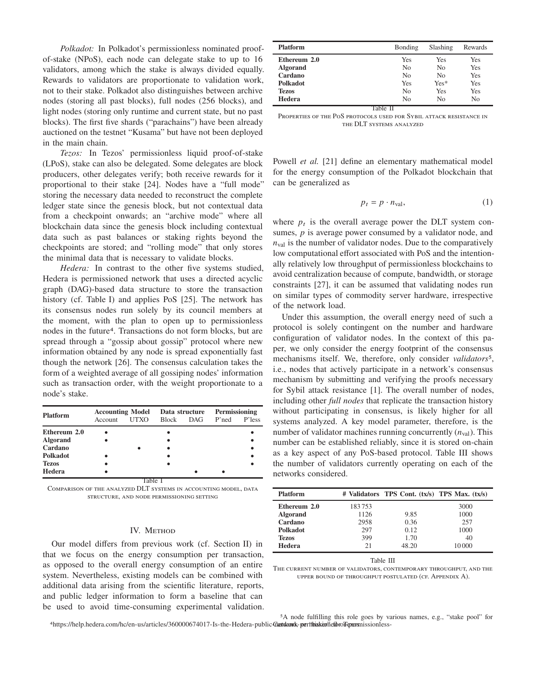*Polkadot:* In Polkadot's permissionless nominated proofof-stake (NPoS), each node can delegate stake to up to 16 validators, among which the stake is always divided equally. Rewards to validators are proportionate to validation work, not to their stake. Polkadot also distinguishes between archive nodes (storing all past blocks), full nodes (256 blocks), and light nodes (storing only runtime and current state, but no past blocks). The first five shards ("parachains") have been already auctioned on the testnet "Kusama" but have not been deployed in the main chain.

*Tezos:* In Tezos' permissionless liquid proof-of-stake (LPoS), stake can also be delegated. Some delegates are block producers, other delegates verify; both receive rewards for it proportional to their stake [\[24](#page-7-23)]. Nodes have a "full mode" storing the necessary data needed to reconstruct the complete ledger state since the genesis block, but not contextual data from a checkpoint onwards; an "archive mode" where all blockchain data since the genesis block including contextual data such as past balances or staking rights beyond the checkpoints are stored; and "rolling mode" that only stores the minimal data that is necessary to validate blocks.

*Hedera:* In contrast to the other five systems studied, Hedera is permissioned network that uses a directed acyclic graph (DAG)-based data structure to store the transaction history (cf. [Table I\)](#page-2-1) and applies PoS [\[25](#page-8-0)]. The network has its consensus nodes run solely by its council members at the moment, with the plan to open up to permissionless nodes in the future[4](#page-2-2). Transactions do not form blocks, but are spread through a "gossip about gossip" protocol where new information obtained by any node is spread exponentially fast though the network [\[26\]](#page-8-1). The consensus calculation takes the form of a weighted average of all gossiping nodes' information such as transaction order, with the weight proportionate to a node's stake.

|                 | <b>Accounting Model</b> |        |              | Data structure | Permissioning |        |
|-----------------|-------------------------|--------|--------------|----------------|---------------|--------|
| <b>Platform</b> | Account                 | UTXO   | <b>Block</b> | DAG.           | $P'$ ned      | P'less |
| Ethereum 2.0    |                         |        |              |                |               |        |
| <b>Algorand</b> |                         |        |              |                |               |        |
| Cardano         |                         |        |              |                |               |        |
| <b>Polkadot</b> |                         |        |              |                |               |        |
| <b>Tezos</b>    |                         |        |              |                |               |        |
| Hedera          |                         |        |              |                |               |        |
|                 |                         | l'able |              |                |               |        |

<span id="page-2-1"></span>Comparison of the analyzed DLT systems in accounting model, data structure, and node permissioning setting

# IV. METHOD

<span id="page-2-5"></span>Our model differs from previous work (cf. [Section II\)](#page-1-2) in that we focus on the energy consumption per transaction, as opposed to the overall energy consumption of an entire system. Nevertheless, existing models can be combined with additional data arising from the scientific literature, reports, and public ledger information to form a baseline that can be used to avoid time-consuming experimental validation.

| <b>Platform</b> | Bonding | Slashing       | Rewards |
|-----------------|---------|----------------|---------|
| Ethereum 2.0    | Yes     | Yes            | Yes     |
| <b>Algorand</b> | No      | N <sub>0</sub> | Yes     |
| Cardano         | No      | N <sub>0</sub> | Yes     |
| <b>Polkadot</b> | Yes     | $Yes*$         | Yes     |
| <b>Tezos</b>    | No      | Yes            | Yes     |
| Hedera          | No      | No             | No      |

Table II

<span id="page-2-0"></span>Properties of the PoS protocols used for Sybil attack resistance in the DLT systems analyzed

Powell *et al.* [\[21\]](#page-7-20) define an elementary mathematical model for the energy consumption of the Polkadot blockchain that can be generalized as

$$
p_t = p \cdot n_{\text{val}},\tag{1}
$$

where  $p_t$  is the overall average power the DLT system consumes,  $p$  is average power consumed by a validator node, and  $n_{\text{val}}$  is the number of validator nodes. Due to the comparatively low computational effort associated with PoS and the intentionally relatively low throughput of permissionless blockchains to avoid centralization because of compute, bandwidth, or storage constraints [\[27](#page-8-2)], it can be assumed that validating nodes run on similar types of commodity server hardware, irrespective of the network load.

Under this assumption, the overall energy need of such a protocol is solely contingent on the number and hardware configuration of validator nodes. In the context of this paper, we only consider the energy footprint of the consensus mechanisms itself. We, therefore, only consider *validators<sup>[5](#page-2-3)</sup>*, i.e., nodes that actively participate in a network's consensus mechanism by submitting and verifying the proofs necessary for Sybil attack resistance [\[1\]](#page-7-0). The overall number of nodes, including other *full nodes* that replicate the transaction history without participating in consensus, is likely higher for all systems analyzed. A key model parameter, therefore, is the number of validator machines running concurrently  $(n_{val})$ . This number can be established reliably, since it is stored on-chain as a key aspect of any PoS-based protocol. Table [III](#page-2-4) shows the number of validators currently operating on each of the networks considered.

| <b>Platform</b> |        | # Validators TPS Cont. (tx/s) TPS Max. (tx/s) |       |
|-----------------|--------|-----------------------------------------------|-------|
| Ethereum 2.0    | 183753 |                                               | 3000  |
| <b>Algorand</b> | 1126   | 9.85                                          | 1000  |
| Cardano         | 2958   | 0.36                                          | 257   |
| Polkadot        | 297    | 0.12                                          | 1000  |
| <b>Tezos</b>    | 399    | 1.70                                          | 40    |
| Hedera          | 2.1    | 48.20                                         | 10000 |

Table III

<span id="page-2-4"></span><span id="page-2-3"></span>The current number of validators, contemporary throughput, and the upper bound of throughput postulated (cf. Appendix [A\)](#page-8-3).

<span id="page-2-2"></span>4https://help.hedera.com/hc/en-us/articles/360000674017-Is-the-Hedera-public-Gartdawdx-pertithiskieniefbro Feparanissionless-5A node fulfilling this role goes by various names, e.g., "stake pool" for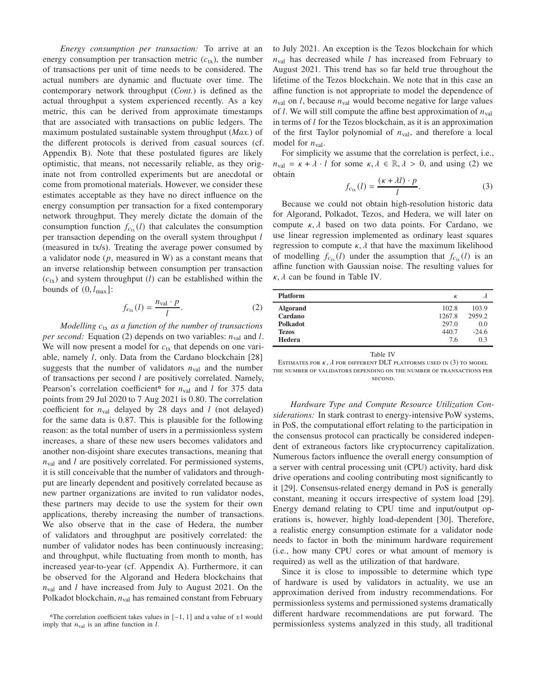*Energy consumption per transaction:* To arrive at an energy consumption per transaction metric  $(c<sub>tx</sub>)$ , the number of transactions per unit of time needs to be considered. The actual numbers are dynamic and fluctuate over time. The contemporary network throughput (*Cont.*) is defined as the actual throughput a system experienced recently. As a key metric, this can be derived from approximate timestamps that are associated with transactions on public ledgers. The maximum postulated sustainable system throughput (*Max.*) of the different protocols is derived from casual sources (cf. Appendix [B\)](#page-8-4). Note that these postulated figures are likely optimistic, that means, not necessarily reliable, as they originate not from controlled experiments but are anecdotal or come from promotional materials. However, we consider these estimates acceptable as they have no direct influence on the energy consumption per transaction for a fixed contemporary network throughput. They merely dictate the domain of the consumption function  $f_{c<sub>tx</sub>}(l)$  that calculates the consumption per transaction depending on the overall system throughput  $l$ (measured in tx/s). Treating the average power consumed by a validator node  $(p,$  measured in W) as a constant means that an inverse relationship between consumption per transaction  $(c<sub>tx</sub>)$  and system throughput (*l*) can be established within the bounds of  $(0, l_{\text{max}})$ :

<span id="page-3-0"></span>
$$
f_{c_{tx}}(l) = \frac{n_{\text{val}} \cdot p}{l}.\tag{2}
$$

*Modelling*  $c_{tx}$  *as a function of the number of transactions per second:* Equation [\(2\)](#page-3-0) depends on two variables:  $n_{val}$  and l. We will now present a model for  $c_{tx}$  that depends on one variable, namely  $l$ , only. Data from the Cardano blockchain [\[28\]](#page-8-5) suggests that the number of validators  $n_{\text{val}}$  and the number of transactions per second  $l$  are positively correlated. Namely, Pearson's correlation coefficient<sup>[6](#page-3-1)</sup> for  $n_{\text{val}}$  and *l* for 375 data points from 29 Jul 2020 to 7 Aug 2021 is 0.80. The correlation coefficient for  $n_{\text{val}}$  delayed by 28 days and *l* (not delayed) for the same data is 0.87. This is plausible for the following reason: as the total number of users in a permissionless system increases, a share of these new users becomes validators and another non-disjoint share executes transactions, meaning that  $n_{\text{val}}$  and  $l$  are positively correlated. For permissioned systems, it is still conceivable that the number of validators and throughput are linearly dependent and positively correlated because as new partner organizations are invited to run validator nodes, these partners may decide to use the system for their own applications, thereby increasing the number of transactions. We also observe that in the case of Hedera, the number of validators and throughput are positively correlated: the number of validator nodes has been continuously increasing; and throughput, while fluctuating from month to month, has increased year-to-year (cf. Appendix [A\)](#page-8-3). Furthermore, it can be observed for the Algorand and Hedera blockchains that  $n_{\text{val}}$  and *l* have increased from July to August 2021. On the Polkadot blockchain,  $n_{\text{val}}$  has remained constant from February

to July 2021. An exception is the Tezos blockchain for which  $n_{\text{val}}$  has decreased while *l* has increased from February to August 2021. This trend has so far held true throughout the lifetime of the Tezos blockchain. We note that in this case an affine function is not appropriate to model the dependence of  $n_{\text{val}}$  on *l*, because  $n_{\text{val}}$  would become negative for large values of *l*. We will still compute the affine best approximation of  $n_{val}$ in terms of  $l$  for the Tezos blockchain, as it is an approximation of the first Taylor polynomial of  $n_{\text{val}}$ , and therefore a local model for  $n_{\text{val}}$ .

<span id="page-3-3"></span>For simplicity we assume that the correlation is perfect, i.e.,  $n_{val} = \kappa + \lambda \cdot l$  for some  $\kappa, \lambda \in \mathbb{R}, \lambda > 0$ , and using [\(2\)](#page-3-0) we obtain

$$
f_{c_{tx}}(l) = \frac{(\kappa + \lambda l) \cdot p}{l}.\tag{3}
$$

Because we could not obtain high-resolution historic data for Algorand, Polkadot, Tezos, and Hedera, we will later on compute  $\kappa$ ,  $\lambda$  based on two data points. For Cardano, we use linear regression implemented as ordinary least squares regression to compute  $\kappa$ ,  $\lambda$  that have the maximum likelihood of modelling  $f_{c_{tx}}(l)$  under the assumption that  $f_{c_{tx}}(l)$  is an affine function with Gaussian noise. The resulting values for  $\kappa$ ,  $\lambda$  can be found in Table [IV.](#page-3-2)

| <b>Platform</b> | К      |         |
|-----------------|--------|---------|
| <b>Algorand</b> | 102.8  | 103.9   |
| Cardano         | 1267.8 | 2959.2  |
| <b>Polkadot</b> | 297.0  | 0.0     |
| <b>Tezos</b>    | 440.7  | $-24.6$ |
| Hedera          | 7.6    | 0.3     |
|                 |        |         |

Table IV

<span id="page-3-2"></span>ESTIMATES FOR  $\kappa$ ,  $\lambda$  for different DLT platforms used in [\(3\)](#page-3-3) to model the number of validators depending on the number of transactions per second.

*Hardware Type and Compute Resource Utilization Considerations:* In stark contrast to energy-intensive PoW systems, in PoS, the computational effort relating to the participation in the consensus protocol can practically be considered independent of extraneous factors like cryptocurrency capitalization. Numerous factors influence the overall energy consumption of a server with central processing unit (CPU) activity, hard disk drive operations and cooling contributing most significantly to it [\[29\]](#page-8-6). Consensus-related energy demand in PoS is generally constant, meaning it occurs irrespective of system load [\[29\]](#page-8-6). Energy demand relating to CPU time and input/output operations is, however, highly load-dependent [\[30](#page-8-7)]. Therefore, a realistic energy consumption estimate for a validator node needs to factor in both the minimum hardware requirement (i.e., how many CPU cores or what amount of memory is required) as well as the utilization of that hardware.

Since it is close to impossible to determine which type of hardware is used by validators in actuality, we use an approximation derived from industry recommendations. For permissionless systems and permissioned systems dramatically different hardware recommendations are put forward. The permissionless systems analyzed in this study, all traditional

<span id="page-3-1"></span><sup>6</sup>The correlation coefficient takes values in  $[-1, 1]$  and a value of  $\pm 1$  would imply that  $n_{\text{val}}$  is an affine function in  $l$ .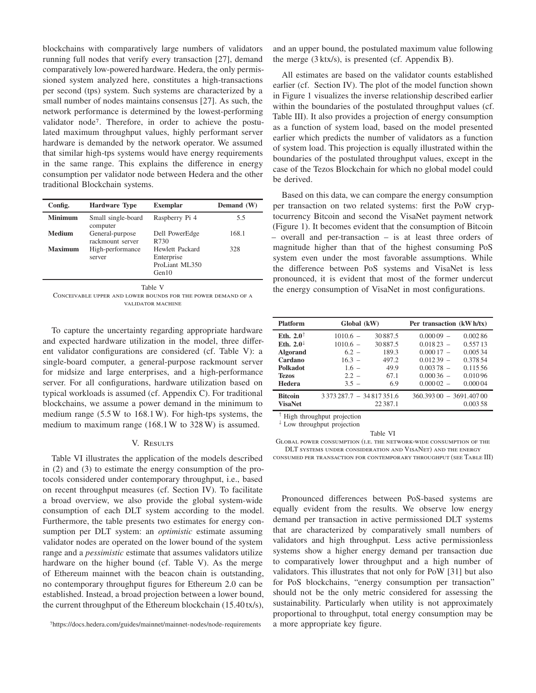blockchains with comparatively large numbers of validators running full nodes that verify every transaction [\[27](#page-8-2)], demand comparatively low-powered hardware. Hedera, the only permissioned system analyzed here, constitutes a high-transactions per second (tps) system. Such systems are characterized by a small number of nodes maintains consensus [\[27\]](#page-8-2). As such, the network performance is determined by the lowest-performing validator node[7](#page-4-0). Therefore, in order to achieve the postulated maximum throughput values, highly performant server hardware is demanded by the network operator. We assumed that similar high-tps systems would have energy requirements in the same range. This explains the difference in energy consumption per validator node between Hedera and the other traditional Blockchain systems.

| Config.        | <b>Hardware Type</b>                | <b>Exemplar</b>                                          | Demand (W) |
|----------------|-------------------------------------|----------------------------------------------------------|------------|
| <b>Minimum</b> | Small single-board<br>computer      | Raspberry Pi 4                                           | 5.5        |
| <b>Medium</b>  | General-purpose<br>rackmount server | Dell PowerEdge<br>R730                                   | 168.1      |
| Maximum        | High-performance<br>server          | Hewlett Packard<br>Enterprise<br>ProLiant ML350<br>Gen10 | 328        |

Table V

<span id="page-4-1"></span>Conceivable upper and lower bounds for the power demand of a validator machine

To capture the uncertainty regarding appropriate hardware and expected hardware utilization in the model, three different validator configurations are considered (cf. Table [V\)](#page-4-1): a single-board computer, a general-purpose rackmount server for midsize and large enterprises, and a high-performance server. For all configurations, hardware utilization based on typical workloads is assumed (cf. Appendix [C\)](#page-9-0). For traditional blockchains, we assume a power demand in the minimum to medium range (5.5W to 168.1W). For high-tps systems, the medium to maximum range (168.1W to 328 W) is assumed.

# V. RESULTS

Table [VI](#page-4-2) illustrates the application of the models described in [\(2\)](#page-3-0) and [\(3\)](#page-3-3) to estimate the energy consumption of the protocols considered under contemporary throughput, i.e., based on recent throughput measures (cf. Section [IV\)](#page-2-5). To facilitate a broad overview, we also provide the global system-wide consumption of each DLT system according to the model. Furthermore, the table presents two estimates for energy consumption per DLT system: an *optimistic* estimate assuming validator nodes are operated on the lower bound of the system range and a *pessimistic* estimate that assumes validators utilize hardware on the higher bound (cf. Table [V\)](#page-4-1). As the merge of Ethereum mainnet with the beacon chain is outstanding, no contemporary throughput figures for Ethereum 2.0 can be established. Instead, a broad projection between a lower bound, the current throughput of the Ethereum blockchain (15.40tx/s),

<span id="page-4-0"></span>7<https://docs.hedera.com/guides/mainnet/mainnet-nodes/node-requirements>

and an upper bound, the postulated maximum value following the merge (3 ktx/s), is presented (cf. Appendix [B\)](#page-8-4).

All estimates are based on the validator counts established earlier (cf. Section [IV\)](#page-2-5). The plot of the model function shown in Figure [1](#page-5-0) visualizes the inverse relationship described earlier within the boundaries of the postulated throughput values (cf. Table [III\)](#page-2-4). It also provides a projection of energy consumption as a function of system load, based on the model presented earlier which predicts the number of validators as a function of system load. This projection is equally illustrated within the boundaries of the postulated throughput values, except in the case of the Tezos Blockchain for which no global model could be derived.

Based on this data, we can compare the energy consumption per transaction on two related systems: first the PoW cryptocurrency Bitcoin and second the VisaNet payment network (Figure [1\)](#page-5-0). It becomes evident that the consumption of Bitcoin – overall and per-transaction – is at least three orders of magnitude higher than that of the highest consuming PoS system even under the most favorable assumptions. While the difference between PoS systems and VisaNet is less pronounced, it is evident that most of the former undercut the energy consumption of VisaNet in most configurations.

| <b>Platform</b>         | Global (kW)                           |            | Per transaction (kW h/tx) |          |
|-------------------------|---------------------------------------|------------|---------------------------|----------|
| Eth. $2.0^{\dagger}$    | $1010.6 -$                            | 30887.5    | $0.00009 -$               | 0.00286  |
| Eth. $2.0^{\downarrow}$ | $1010.6 -$                            | 30887.5    | $0.01823 -$               | 0.55713  |
| <b>Algorand</b>         | $6.2 -$                               | 189.3      | $0.00017 -$               | 0.00534  |
| Cardano                 | $16.3 -$                              | 497.2      | $0.01239 -$               | 0.378.54 |
| <b>Polkadot</b>         | $1.6 -$                               | 49.9       | $0.00378 -$               | 0.115.56 |
| <b>Tezos</b>            | $2.2 -$                               | 67.1       | $0.00036 -$               | 0.01096  |
| Hedera                  | $3.5 -$                               | 6.9        | $0.00002 -$               | 0.00004  |
| <b>Bitcoin</b>          | $3373287.7 - 34817351.6$              |            | $360.39300 - 3691.40700$  |          |
| <b>VisaNet</b>          |                                       | 22 3 8 7.1 |                           | 0.003 58 |
|                         | $\uparrow$ High throughout projection |            |                           |          |

 High throughput projection Low throughput projection

Table VI

<span id="page-4-2"></span>Global power consumption (i.e. the network-wide consumption of the DLT systems under consideration and VisaNet) and the energy

consumed per transaction for contemporary throughput (see Table [III\)](#page-2-4)

Pronounced differences between PoS-based systems are equally evident from the results. We observe low energy demand per transaction in active permissioned DLT systems that are characterized by comparatively small numbers of validators and high throughput. Less active permissionless systems show a higher energy demand per transaction due to comparatively lower throughput and a high number of validators. This illustrates that not only for PoW [\[31\]](#page-8-8) but also for PoS blockchains, "energy consumption per transaction" should not be the only metric considered for assessing the sustainability. Particularly when utility is not approximately proportional to throughput, total energy consumption may be a more appropriate key figure.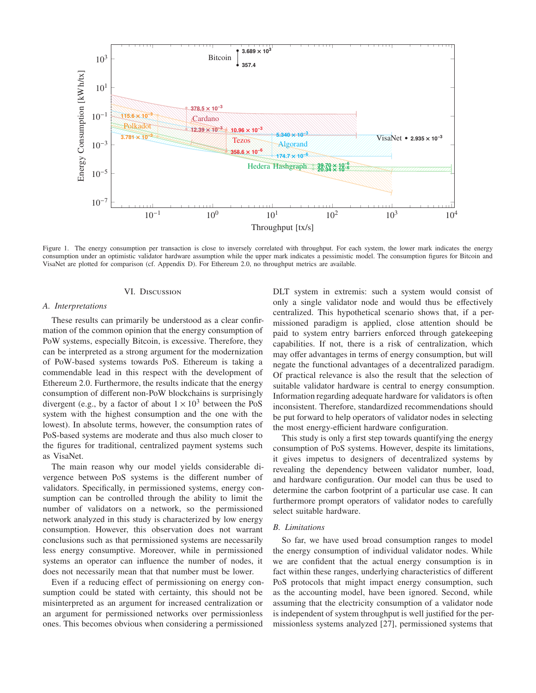

<span id="page-5-0"></span>Figure 1. The energy consumption per transaction is close to inversely correlated with throughput. For each system, the lower mark indicates the energy consumption under an optimistic validator hardware assumption while the upper mark indicates a pessimistic model. The consumption figures for Bitcoin and VisaNet are plotted for comparison (cf. Appendix [D\)](#page-9-1). For Ethereum 2.0, no throughput metrics are available.

#### VI. Discussion

#### *A. Interpretations*

These results can primarily be understood as a clear confirmation of the common opinion that the energy consumption of PoW systems, especially Bitcoin, is excessive. Therefore, they can be interpreted as a strong argument for the modernization of PoW-based systems towards PoS. Ethereum is taking a commendable lead in this respect with the development of Ethereum 2.0. Furthermore, the results indicate that the energy consumption of different non-PoW blockchains is surprisingly divergent (e.g., by a factor of about  $1 \times 10^3$  between the PoS system with the highest consumption and the one with the lowest). In absolute terms, however, the consumption rates of PoS-based systems are moderate and thus also much closer to the figures for traditional, centralized payment systems such as VisaNet.

The main reason why our model yields considerable divergence between PoS systems is the different number of validators. Specifically, in permissioned systems, energy consumption can be controlled through the ability to limit the number of validators on a network, so the permissioned network analyzed in this study is characterized by low energy consumption. However, this observation does not warrant conclusions such as that permissioned systems are necessarily less energy consumptive. Moreover, while in permissioned systems an operator can influence the number of nodes, it does not necessarily mean that that number must be lower.

Even if a reducing effect of permissioning on energy consumption could be stated with certainty, this should not be misinterpreted as an argument for increased centralization or an argument for permissioned networks over permissionless ones. This becomes obvious when considering a permissioned

DLT system in extremis: such a system would consist of only a single validator node and would thus be effectively centralized. This hypothetical scenario shows that, if a permissioned paradigm is applied, close attention should be paid to system entry barriers enforced through gatekeeping capabilities. If not, there is a risk of centralization, which may offer advantages in terms of energy consumption, but will negate the functional advantages of a decentralized paradigm. Of practical relevance is also the result that the selection of suitable validator hardware is central to energy consumption. Information regarding adequate hardware for validators is often inconsistent. Therefore, standardized recommendations should be put forward to help operators of validator nodes in selecting the most energy-efficient hardware configuration.

This study is only a first step towards quantifying the energy consumption of PoS systems. However, despite its limitations, it gives impetus to designers of decentralized systems by revealing the dependency between validator number, load, and hardware configuration. Our model can thus be used to determine the carbon footprint of a particular use case. It can furthermore prompt operators of validator nodes to carefully select suitable hardware.

#### *B. Limitations*

So far, we have used broad consumption ranges to model the energy consumption of individual validator nodes. While we are confident that the actual energy consumption is in fact within these ranges, underlying characteristics of different PoS protocols that might impact energy consumption, such as the accounting model, have been ignored. Second, while assuming that the electricity consumption of a validator node is independent of system throughput is well justified for the permissionless systems analyzed [\[27\]](#page-8-2), permissioned systems that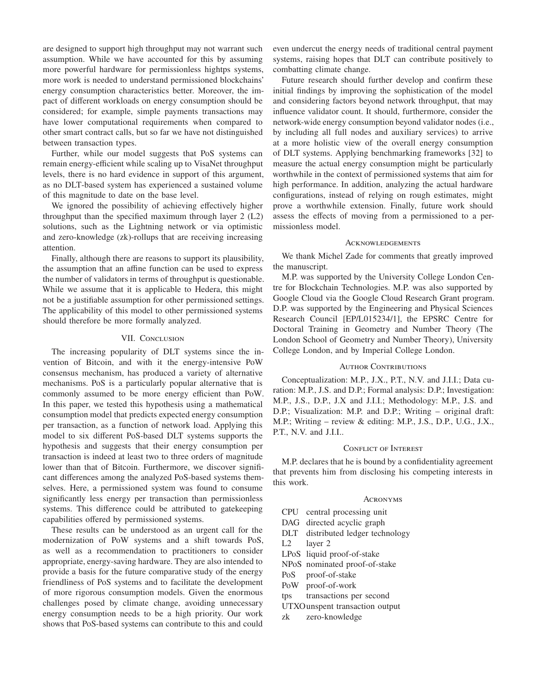are designed to support high throughput may not warrant such assumption. While we have accounted for this by assuming more powerful hardware for permissionless hightps systems, more work is needed to understand permissioned blockchains' energy consumption characteristics better. Moreover, the impact of different workloads on energy consumption should be considered; for example, simple payments transactions may have lower computational requirements when compared to other smart contract calls, but so far we have not distinguished between transaction types.

Further, while our model suggests that PoS systems can remain energy-efficient while scaling up to VisaNet throughput levels, there is no hard evidence in support of this argument, as no DLT-based system has experienced a sustained volume of this magnitude to date on the base level.

We ignored the possibility of achieving effectively higher throughput than the specified maximum through layer 2 (L2) solutions, such as the Lightning network or via optimistic and zero-knowledge (zk)-rollups that are receiving increasing attention.

Finally, although there are reasons to support its plausibility, the assumption that an affine function can be used to express the number of validators in terms of throughput is questionable. While we assume that it is applicable to Hedera, this might not be a justifiable assumption for other permissioned settings. The applicability of this model to other permissioned systems should therefore be more formally analyzed.

# VII. CONCLUSION

The increasing popularity of DLT systems since the invention of Bitcoin, and with it the energy-intensive PoW consensus mechanism, has produced a variety of alternative mechanisms. PoS is a particularly popular alternative that is commonly assumed to be more energy efficient than PoW. In this paper, we tested this hypothesis using a mathematical consumption model that predicts expected energy consumption per transaction, as a function of network load. Applying this model to six different PoS-based DLT systems supports the hypothesis and suggests that their energy consumption per transaction is indeed at least two to three orders of magnitude lower than that of Bitcoin. Furthermore, we discover significant differences among the analyzed PoS-based systems themselves. Here, a permissioned system was found to consume significantly less energy per transaction than permissionless systems. This difference could be attributed to gatekeeping capabilities offered by permissioned systems.

These results can be understood as an urgent call for the modernization of PoW systems and a shift towards PoS, as well as a recommendation to practitioners to consider appropriate, energy-saving hardware. They are also intended to provide a basis for the future comparative study of the energy friendliness of PoS systems and to facilitate the development of more rigorous consumption models. Given the enormous challenges posed by climate change, avoiding unnecessary energy consumption needs to be a high priority. Our work shows that PoS-based systems can contribute to this and could even undercut the energy needs of traditional central payment systems, raising hopes that DLT can contribute positively to combatting climate change.

Future research should further develop and confirm these initial findings by improving the sophistication of the model and considering factors beyond network throughput, that may influence validator count. It should, furthermore, consider the network-wide energy consumption beyond validator nodes (i.e., by including all full nodes and auxiliary services) to arrive at a more holistic view of the overall energy consumption of DLT systems. Applying benchmarking frameworks [\[32\]](#page-8-9) to measure the actual energy consumption might be particularly worthwhile in the context of permissioned systems that aim for high performance. In addition, analyzing the actual hardware configurations, instead of relying on rough estimates, might prove a worthwhile extension. Finally, future work should assess the effects of moving from a permissioned to a permissionless model.

#### **ACKNOWLEDGEMENTS**

We thank Michel Zade for comments that greatly improved the manuscript.

M.P. was supported by the University College London Centre for Blockchain Technologies. M.P. was also supported by Google Cloud via the Google Cloud Research Grant program. D.P. was supported by the Engineering and Physical Sciences Research Council [EP/L015234/1], the EPSRC Centre for Doctoral Training in Geometry and Number Theory (The London School of Geometry and Number Theory), University College London, and by Imperial College London.

#### **AUTHOR CONTRIBUTIONS**

Conceptualization: M.P., J.X., P.T., N.V. and J.I.I.; Data curation: M.P., J.S. and D.P.; Formal analysis: D.P.; Investigation: M.P., J.S., D.P., J.X and J.I.I.; Methodology: M.P., J.S. and D.P.; Visualization: M.P. and D.P.; Writing – original draft: M.P.; Writing – review & editing: M.P., J.S., D.P., U.G., J.X., P.T., N.V. and J.I.I..

# CONFLICT OF INTEREST

M.P. declares that he is bound by a confidentiality agreement that prevents him from disclosing his competing interests in this work.

# **ACRONYMS**

- CPU central processing unit
- DAG directed acyclic graph
- DLT distributed ledger technology
- L2 layer 2
- LPoS liquid proof-of-stake
- NPoS nominated proof-of-stake
- PoS proof-of-stake
- PoW proof-of-work
- tps transactions per second
- UTXOunspent transaction output
- zk zero-knowledge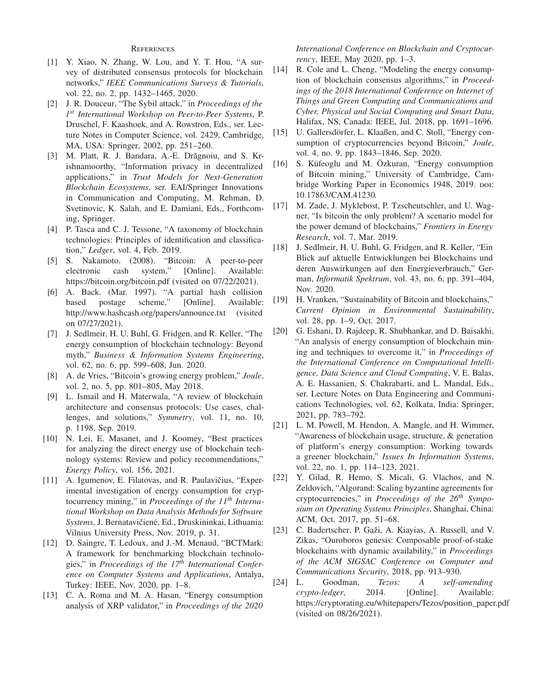# **REFERENCES**

- <span id="page-7-0"></span>[1] Y. Xiao, N. Zhang, W. Lou, and Y. T. Hou, "A survey of distributed consensus protocols for blockchain networks," *IEEE Communications Surveys & Tutorials*, vol. 22, no. 2, pp. 1432–1465, 2020.
- <span id="page-7-1"></span>[2] J. R. Douceur, "The Sybil attack," in *Proceedings of the 1 st International Workshop on Peer-to-Peer Systems*, P. Druschel, F. Kaashoek, and A. Rowstron, Eds., ser. Lecture Notes in Computer Science, vol. 2429, Cambridge, MA, USA: Springer, 2002, pp. 251–260.
- <span id="page-7-2"></span>[3] M. Platt, R. J. Bandara, A.-E. Drăgnoiu, and S. Krishnamoorthy, "Information privacy in decentralized applications," in *Trust Models for Next-Generation Blockchain Ecosystems*, ser. EAI/Springer Innovations in Communication and Computing, M. Rehman, D. Svetinovic, K. Salah, and E. Damiani, Eds., Forthcoming, Springer.
- <span id="page-7-3"></span>[4] P. Tasca and C. J. Tessone, "A taxonomy of blockchain technologies: Principles of identification and classification," *Ledger*, vol. 4, Feb. 2019.
- <span id="page-7-4"></span>[5] S. Nakamoto. (2008). "Bitcoin: A peer-to-peer electronic cash system," [Online]. Available: <https://bitcoin.org/bitcoin.pdf> (visited on 07/22/2021).
- <span id="page-7-5"></span>[6] A. Back. (Mar. 1997). "A partial hash collision based postage scheme," [Online]. Available: <http://www.hashcash.org/papers/announce.txt> (visited on 07/27/2021).
- <span id="page-7-6"></span>[7] J. Sedlmeir, H. U. Buhl, G. Fridgen, and R. Keller, "The energy consumption of blockchain technology: Beyond myth," *Business & Information Systems Engineering*, vol. 62, no. 6, pp. 599–608, Jun. 2020.
- <span id="page-7-7"></span>[8] A. de Vries, "Bitcoin's growing energy problem," *Joule*, vol. 2, no. 5, pp. 801–805, May 2018.
- <span id="page-7-8"></span>[9] L. Ismail and H. Materwala, "A review of blockchain architecture and consensus protocols: Use cases, challenges, and solutions," *Symmetry*, vol. 11, no. 10, p. 1198, Sep. 2019.
- <span id="page-7-9"></span>[10] N. Lei, E. Masanet, and J. Koomey, "Best practices for analyzing the direct energy use of blockchain technology systems: Review and policy recommendations," *Energy Policy*, vol. 156, 2021.
- <span id="page-7-10"></span>[11] A. Igumenov, E. Filatovas, and R. Paulavičius, "Experimental investigation of energy consumption for cryptocurrency mining," in *Proceedings of the 11th International Workshop on Data Analysis Methods for Software Systems*, J. Bernatavičien˙e, Ed., Druskininkai, Lithuania: Vilnius University Press, Nov. 2019, p. 31.
- <span id="page-7-11"></span>[12] D. Saingre, T. Ledoux, and J.-M. Menaud, "BCTMark: A framework for benchmarking blockchain technologies," in *Proceedings of the 17th International Conference on Computer Systems and Applications*, Antalya, Turkey: IEEE, Nov. 2020, pp. 1–8.
- <span id="page-7-12"></span>[13] C. A. Roma and M. A. Hasan, "Energy consumption analysis of XRP validator," in *Proceedings of the 2020*

*International Conference on Blockchain and Cryptocurrency*, IEEE, May 2020, pp. 1–3.

- <span id="page-7-13"></span>[14] R. Cole and L. Cheng, "Modeling the energy consumption of blockchain consensus algorithms," in *Proceedings of the 2018 International Conference on Internet of Things and Green Computing and Communications and Cyber, Physical and Social Computing and Smart Data*, Halifax, NS, Canada: IEEE, Jul. 2018, pp. 1691–1696.
- <span id="page-7-14"></span>[15] U. Gallersdörfer, L. Klaaßen, and C. Stoll, "Energy consumption of cryptocurrencies beyond Bitcoin," *Joule*, vol. 4, no. 9, pp. 1843–1846, Sep. 2020.
- <span id="page-7-15"></span>[16] S. Küfeoglu and M. Özkuran, "Energy consumption of Bitcoin mining," University of Cambridge, Cambridge Working Paper in Economics 1948, 2019. poi: [10.17863/CAM.41230.](https://doi.org/10.17863/CAM.41230)
- <span id="page-7-16"></span>[17] M. Zade, J. Myklebost, P. Tzscheutschler, and U. Wagner, "Is bitcoin the only problem? A scenario model for the power demand of blockchains," *Frontiers in Energy Research*, vol. 7, Mar. 2019.
- <span id="page-7-17"></span>[18] J. Sedlmeir, H. U. Buhl, G. Fridgen, and R. Keller, "Ein Blick auf aktuelle Entwicklungen bei Blockchains und deren Auswirkungen auf den Energieverbrauch," German, *Informatik Spektrum*, vol. 43, no. 6, pp. 391–404, Nov. 2020.
- <span id="page-7-18"></span>[19] H. Vranken, "Sustainability of Bitcoin and blockchains," *Current Opinion in Environmental Sustainability*, vol. 28, pp. 1–9, Oct. 2017.
- <span id="page-7-19"></span>[20] G. Eshani, D. Rajdeep, R. Shubhankar, and D. Baisakhi, "An analysis of energy consumption of blockchain mining and techniques to overcome it," in *Proceedings of the International Conference on Computational Intelligence, Data Science and Cloud Computing*, V. E. Balas, A. E. Hassanien, S. Chakrabarti, and L. Mandal, Eds., ser. Lecture Notes on Data Engineering and Communications Technologies, vol. 62, Kolkata, India: Springer, 2021, pp. 783–792.
- <span id="page-7-20"></span>[21] L. M. Powell, M. Hendon, A. Mangle, and H. Wimmer, "Awareness of blockchain usage, structure, & generation of platform's energy consumption: Working towards a greener blockchain," *Issues In Information Systems*, vol. 22, no. 1, pp. 114–123, 2021.
- <span id="page-7-21"></span>[22] Y. Gilad, R. Hemo, S. Micali, G. Vlachos, and N. Zeldovich, "Algorand: Scaling byzantine agreements for cryptocurrencies," in *Proceedings of the 26th Symposium on Operating Systems Principles*, Shanghai, China: ACM, Oct. 2017, pp. 51–68.
- <span id="page-7-22"></span>[23] C. Badertscher, P. Gaži, A. Kiayias, A. Russell, and V. Zikas, "Ouroboros genesis: Composable proof-of-stake blockchains with dynamic availability," in *Proceedings of the ACM SIGSAC Conference on Computer and Communications Security*, 2018, pp. 913–930.
- <span id="page-7-23"></span>[24] L. Goodman, *Tezos: A self-amending crypto-ledger*, 2014. [Online]. Available: [https://cryptorating.eu/whitepapers/Tezos/position\\_paper.pdf](https://cryptorating.eu/whitepapers/Tezos/position_paper.pdf) (visited on 08/26/2021).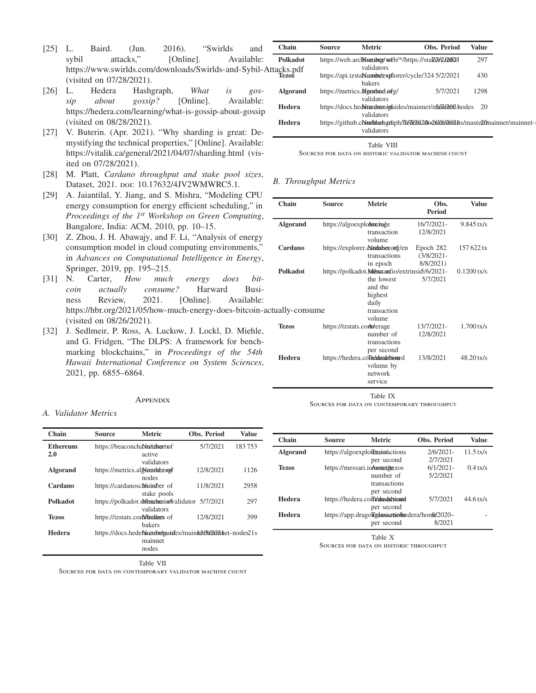- <span id="page-8-0"></span>[25] L. Baird. (Jun. 2016). "Swirlds and sybil attacks," [Online]. Available: https://www.swirlds.com/downloads/Swirlds-and-Sybil-Atta (visited on 07/28/2021).
- <span id="page-8-1"></span>[26] L. Hedera Hashgraph, *What is gossip about gossip?* [Online]. Available: <https://hedera.com/learning/what-is-gossip-about-gossip> (visited on 08/28/2021).
- <span id="page-8-2"></span>[27] V. Buterin. (Apr. 2021). "Why sharding is great: Demystifying the technical properties," [Online]. Available: <https://vitalik.ca/general/2021/04/07/sharding.html> (visited on 07/28/2021).
- <span id="page-8-6"></span><span id="page-8-5"></span>[28] M. Platt, *Cardano throughput and stake pool sizes*, Dataset, 2021. poi: [10.17632/4JV2WMWRC5.1.](https://doi.org/10.17632/4JV2WMWRC5.1)
- [29] A. Jaiantilal, Y. Jiang, and S. Mishra, "Modeling CPU energy consumption for energy efficient scheduling," in *Proceedings of the 1st Workshop on Green Computing*, Bangalore, India: ACM, 2010, pp. 10–15.
- <span id="page-8-7"></span>[30] Z. Zhou, J. H. Abawajy, and F. Li, "Analysis of energy consumption model in cloud computing environments," in *Advances on Computational Intelligence in Energy*, Springer, 2019, pp. 195–215.
- <span id="page-8-8"></span>[31] N. Carter, *How much energy does bitcoin actually consume?* Harward Business Review, 2021. [Online]. Available: https://hbr.org/2021/05/how-much-energy-does-bitcoin-actual (visited on 08/26/2021).
- <span id="page-8-9"></span>[32] J. Sedlmeir, P. Ross, A. Luckow, J. Lockl, D. Miehle, and G. Fridgen, "The DLPS: A framework for benchmarking blockchains," in *Proceedings of the 54th Hawaii International Conference on System Sciences*, 2021, pp. 6855–6864.

## **APPENDIX**

#### <span id="page-8-3"></span>*A. Validator Metrics*

| Chain           | <b>Source</b> | <b>Metric</b>                                              | <b>Obs. Period</b> | <b>Value</b> |
|-----------------|---------------|------------------------------------------------------------|--------------------|--------------|
| Ethereum        |               | https://beaconchaNutabartsof                               | 5/7/2021           | 183753       |
| 2.0             |               | active                                                     |                    |              |
|                 |               | validators                                                 |                    |              |
| <b>Algorand</b> |               | https://metrics.algorantecoupl                             | 12/8/2021          | 1126         |
|                 |               | nodes                                                      |                    |              |
| Cardano         |               | https://cardanoscaluinber of                               | 11/8/2021          | 2958         |
|                 |               | stake pools                                                |                    |              |
| Polkadot        |               | https://polkadot.sNbspheriofvalidator 5/7/2021             |                    | 297          |
|                 |               | validators                                                 |                    |              |
| Tezos           |               | https://tzstats.com/bakers of                              | 12/8/2021          | 399          |
|                 |               | bakers                                                     |                    |              |
| Hedera          |               | https://docs.hedeNumbr/gsuides/maintof8t/2001 het-nodes21s |                    |              |
|                 |               | mainnet                                                    |                    |              |
|                 |               | nodes                                                      |                    |              |

| <b>Source</b> | <b>Metric</b> | Obs. Period                                | <b>Value</b>                                                                                                                                                                                                                                                                    |
|---------------|---------------|--------------------------------------------|---------------------------------------------------------------------------------------------------------------------------------------------------------------------------------------------------------------------------------------------------------------------------------|
|               |               |                                            | 297                                                                                                                                                                                                                                                                             |
|               |               |                                            | 430                                                                                                                                                                                                                                                                             |
|               | <b>bakers</b> |                                            | 1298                                                                                                                                                                                                                                                                            |
|               | validators    |                                            |                                                                                                                                                                                                                                                                                 |
|               | validators    |                                            |                                                                                                                                                                                                                                                                                 |
|               | validators    |                                            |                                                                                                                                                                                                                                                                                 |
|               |               | validators<br>https://metrics.Mgorbad.ofg/ | https://web.archNumbugy/web/*/https://staRdv2/h002/l<br>https://api.tzsta <b>Numbrexyfl</b> orer/cycle/324 5/2/2021<br>5/7/2021<br>https://docs.heddwardown/ogfuides/mainnet/nfofth12002-hodes 20<br>https://github.com/hashgraph/fled020026/8/2002.its/maste20mainnet/mainnet- |

Table VIII Sources for data on historic validator machine count

# <span id="page-8-4"></span>*B. Throughput Metrics*

| Chain           | Source                            | <b>Metric</b>                                                                        | Obs.<br><b>Period</b>      | <b>Value</b>  |
|-----------------|-----------------------------------|--------------------------------------------------------------------------------------|----------------------------|---------------|
| <b>Algorand</b> | https://algoexplotexeriage        | transaction                                                                          | 16/7/2021-<br>12/8/2021    | $9.845$ tx/s  |
| Cardano         | https://explorer.doindaheroorg/en | volume<br>transactions                                                               | Epoch 282<br>$(3/8/2021 -$ | 157 622 tx    |
| <b>Polkadot</b> |                                   | in epoch<br>https://polkadot.Messimantio/extrinsiot/6/2021-<br>the lowest<br>and the | 8/8/2021)<br>5/7/2021      | $0.1200$ tx/s |
| ually-consume   |                                   | highest<br>daily<br>transaction<br>volume                                            |                            |               |
| <b>Tezos</b>    | https://tzstats.com/w/erage       | number of<br>transactions<br>per second                                              | 13/7/2021-<br>12/8/2021    | $1.700$ tx/s  |
| Hedera          | https://hedera.coTinadassichioard | volume by<br>network<br>service                                                      | 13/8/2021                  | $48.20$ tx/s  |

Table IX

Sources for data on contemporary throughput

| Chain           | <b>Source</b> | <b>Metric</b>                                   | <b>Obs. Period</b> | <b>Value</b> |
|-----------------|---------------|-------------------------------------------------|--------------------|--------------|
| <b>Algorand</b> |               | https://algoexploienains/actions                | $2/6/2021 -$       | $11.5$ tx/s  |
|                 |               | per second                                      | 2/7/2021           |              |
| <b>Tezos</b>    |               | https://messari.ioAassett/tezos                 | $6/1/2021$ -       | $0.4$ tx/s   |
|                 |               | number of                                       | 5/2/2021           |              |
|                 |               | transactions                                    |                    |              |
|                 |               | per second                                      |                    |              |
| Hedera          |               | https://hedera.coffi/alasadtioand               | 5/7/2021           | $44.6$ tx/s  |
|                 |               | per second                                      |                    |              |
| Hedera          |               | https://app.dragoligiassactic/incdera/hon&2020- |                    |              |
|                 |               | per second                                      | 8/2021             |              |

Table X

Sources for data on historic throughput

Table VII

Sources for data on contemporary validator machine count